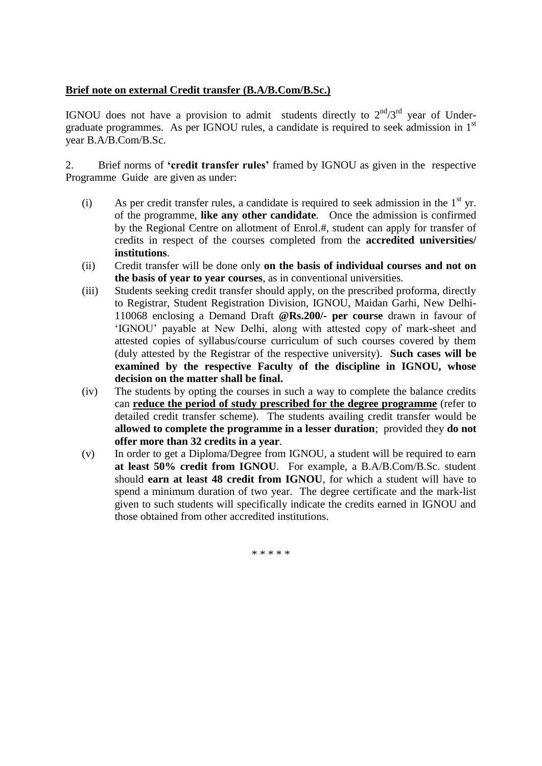## **Brief note on external Credit transfer (B.A/B.Com/B.Sc.)**

IGNOU does not have a provision to admit students directly to  $2<sup>nd</sup>/3<sup>rd</sup>$  year of Undergraduate programmes. As per IGNOU rules, a candidate is required to seek admission in 1<sup>st</sup> year B.A/B.Com/B.Sc.

2. Brief norms of **'credit transfer rules'** framed by IGNOU as given in the respective Programme Guide are given as under:

- (i) As per credit transfer rules, a candidate is required to seek admission in the  $1<sup>st</sup>$  yr. of the programme, **like any other candidate**. Once the admission is confirmed by the Regional Centre on allotment of Enrol.#, student can apply for transfer of credits in respect of the courses completed from the **accredited universities/ institutions**.
- (ii) Credit transfer will be done only **on the basis of individual courses and not on the basis of year to year courses**, as in conventional universities.
- (iii) Students seeking credit transfer should apply, on the prescribed proforma, directly to Registrar, Student Registration Division, IGNOU, Maidan Garhi, New Delhi-110068 enclosing a Demand Draft **@Rs.200/- per course** drawn in favour of 'IGNOU' payable at New Delhi, along with attested copy of mark-sheet and attested copies of syllabus/course curriculum of such courses covered by them (duly attested by the Registrar of the respective university). **Such cases will be examined by the respective Faculty of the discipline in IGNOU, whose decision on the matter shall be final.**
- (iv) The students by opting the courses in such a way to complete the balance credits can **reduce the period of study prescribed for the degree programme** (refer to detailed credit transfer scheme). The students availing credit transfer would be **allowed to complete the programme in a lesser duration**; provided they **do not offer more than 32 credits in a year**.
- (v) In order to get a Diploma/Degree from IGNOU, a student will be required to earn **at least 50% credit from IGNOU**. For example, a B.A/B.Com/B.Sc. student should **earn at least 48 credit from IGNOU**, for which a student will have to spend a minimum duration of two year. The degree certificate and the mark-list given to such students will specifically indicate the credits earned in IGNOU and those obtained from other accredited institutions.

\* \* \* \* \*